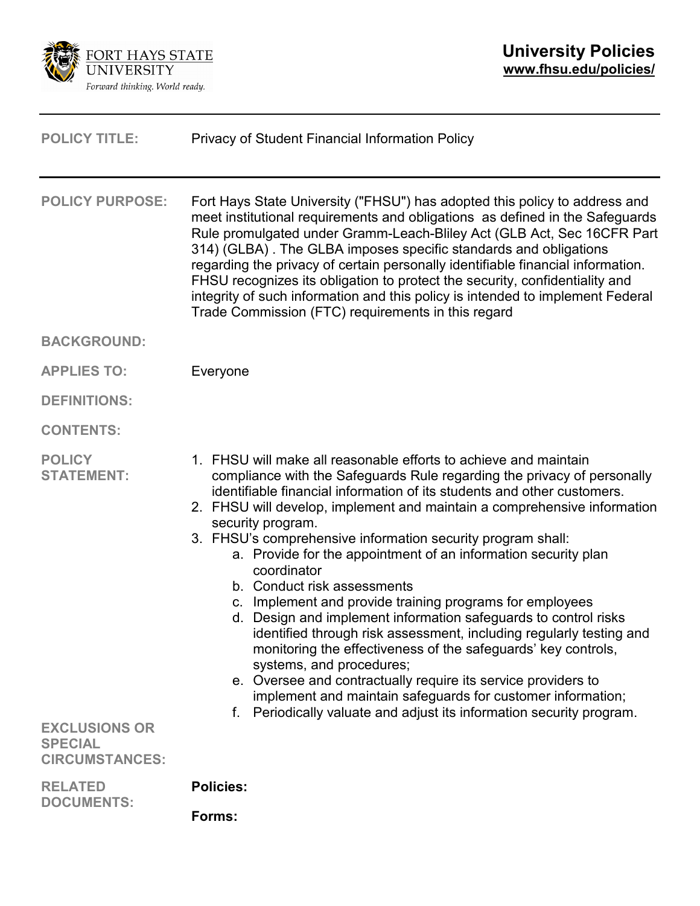

| <b>POLICY TITLE:</b>                                                                                  | Privacy of Student Financial Information Policy                                                                                                                                                                                                                                                                                                                                                                                                                                                                                                                                                                                                                                                                                                                                                                                                                                                                                                                                                                   |
|-------------------------------------------------------------------------------------------------------|-------------------------------------------------------------------------------------------------------------------------------------------------------------------------------------------------------------------------------------------------------------------------------------------------------------------------------------------------------------------------------------------------------------------------------------------------------------------------------------------------------------------------------------------------------------------------------------------------------------------------------------------------------------------------------------------------------------------------------------------------------------------------------------------------------------------------------------------------------------------------------------------------------------------------------------------------------------------------------------------------------------------|
| <b>POLICY PURPOSE:</b>                                                                                | Fort Hays State University ("FHSU") has adopted this policy to address and<br>meet institutional requirements and obligations as defined in the Safeguards<br>Rule promulgated under Gramm-Leach-Bliley Act (GLB Act, Sec 16CFR Part<br>314) (GLBA). The GLBA imposes specific standards and obligations<br>regarding the privacy of certain personally identifiable financial information.<br>FHSU recognizes its obligation to protect the security, confidentiality and<br>integrity of such information and this policy is intended to implement Federal<br>Trade Commission (FTC) requirements in this regard                                                                                                                                                                                                                                                                                                                                                                                                |
| <b>BACKGROUND:</b>                                                                                    |                                                                                                                                                                                                                                                                                                                                                                                                                                                                                                                                                                                                                                                                                                                                                                                                                                                                                                                                                                                                                   |
| <b>APPLIES TO:</b>                                                                                    | Everyone                                                                                                                                                                                                                                                                                                                                                                                                                                                                                                                                                                                                                                                                                                                                                                                                                                                                                                                                                                                                          |
| <b>DEFINITIONS:</b>                                                                                   |                                                                                                                                                                                                                                                                                                                                                                                                                                                                                                                                                                                                                                                                                                                                                                                                                                                                                                                                                                                                                   |
| <b>CONTENTS:</b>                                                                                      |                                                                                                                                                                                                                                                                                                                                                                                                                                                                                                                                                                                                                                                                                                                                                                                                                                                                                                                                                                                                                   |
| <b>POLICY</b><br><b>STATEMENT:</b><br><b>EXCLUSIONS OR</b><br><b>SPECIAL</b><br><b>CIRCUMSTANCES:</b> | 1. FHSU will make all reasonable efforts to achieve and maintain<br>compliance with the Safeguards Rule regarding the privacy of personally<br>identifiable financial information of its students and other customers.<br>2. FHSU will develop, implement and maintain a comprehensive information<br>security program.<br>3. FHSU's comprehensive information security program shall:<br>a. Provide for the appointment of an information security plan<br>coordinator<br>b. Conduct risk assessments<br>c. Implement and provide training programs for employees<br>d. Design and implement information safeguards to control risks<br>identified through risk assessment, including regularly testing and<br>monitoring the effectiveness of the safeguards' key controls,<br>systems, and procedures;<br>e. Oversee and contractually require its service providers to<br>implement and maintain safeguards for customer information;<br>f. Periodically valuate and adjust its information security program. |
| <b>RELATED</b><br><b>DOCUMENTS:</b>                                                                   | <b>Policies:</b>                                                                                                                                                                                                                                                                                                                                                                                                                                                                                                                                                                                                                                                                                                                                                                                                                                                                                                                                                                                                  |
|                                                                                                       | Forms:                                                                                                                                                                                                                                                                                                                                                                                                                                                                                                                                                                                                                                                                                                                                                                                                                                                                                                                                                                                                            |